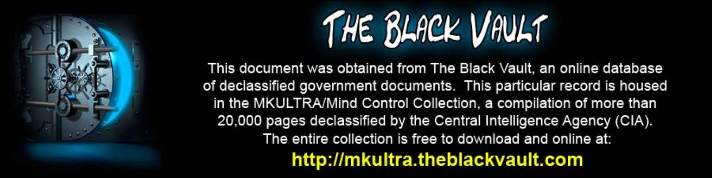

This document was obtained from The Black Vault, an online database of declassified government documents. This particular record is housed in the MKULTRA/Mind Control Collection, a compilation of more than 20,000 pages declassified by the Central Intelligence Agency (CIA). The entire collection is free to download and online at: http://mkultra.theblackvault.com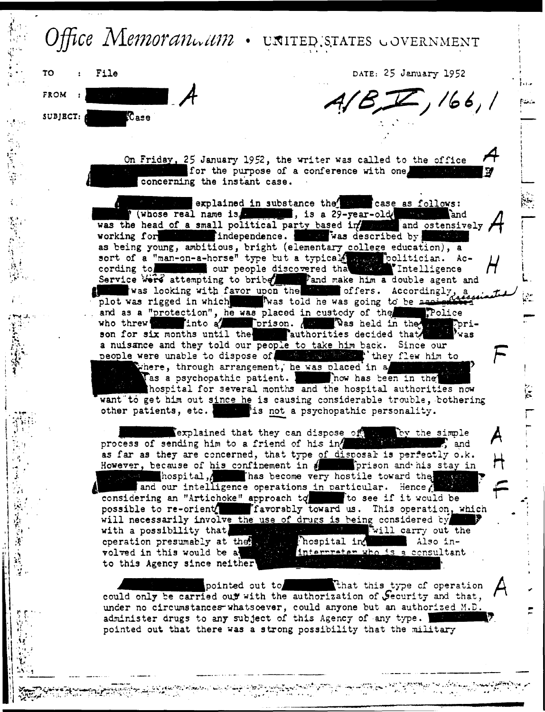## Office Memoranwam . UNITED STATES GOVERNMENT



DATE: 25 January 1952

 $A/B,T$ , 166, 1

On Friday, 25 January 1952, the writer was called to the office for the purpose of a conference with one. concerning the instant case.

explained in substance the case as follows: When I (whose real name is a manipulation of the second was the head of a small political party based in and ostensively working for the lindependence. The was described by the sense as being young, ambitious, bright (elementary college education), a sort of a "man-on-a-horse" type but a typical man politician. According to we will our people discovered that the lintelligence Service were attempting to bribe fand make him a double agent and was looking with favor upon the the offers. Accordingly, a plot was rigged in which when Twas told he was going to be assessed Police and as a "protection", he was placed in custody of the who threw into a into a prison. ( we was held in the way Jorison for six months until the search parthorities decided that a nuisance and they told our people to take him back. Since our people were unable to dispose of the state of they flew him to where, through arrangement, he was placed in a Tas a psychopathic patient. I how has been in the hospital for several months and the hospital authorities now want to get him out since he is causing considerable trouble, bothering other patients, etc. I am is not a psychopathic personality.

explained that they can dispose of a by the simple process of sending him to a friend of his in the sending, and as far as they are concerned, that type of disposal is perfectly o.k. However, because of his confinement in electric prison and his stay in production in the second very hostile toward the sea and our intelligence operations in particular. Hence, considering an "Artichoke" approach to see if it would be possible to re-orient. The Traversbly toward us. This operation, which will necessarily involve the use of drugs is being considered by  $\mathbb{F}$ with a possibility that. Will carry out the hospital in operation presumably at the sea Also ininterprater who is a consultant volved in this would be a to this Agency since neither

pointed out to **That this type of operation** could only be carried out with the authorization of Jecurity and that, under no circumstances whatsoever, could anyone but an authorized M.D. administer drugs to any subject of this Agency of any type. pointed out that there was a strong possibility that the military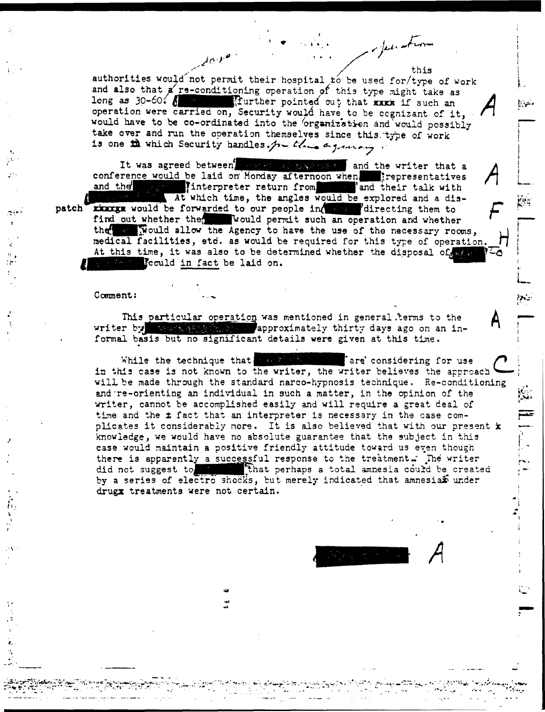authorities would not permit their hospital to be used for/type of work and also that a re-conditioning operation of this type might take as long as 30-60. 8 19 Million Sturther pointed out that Exce if such an operation were carried on, Security would have to be cognizant of it, would have to be co-ordinated into the organization and would possibly take over and run the operation themselves since this type of work is one the which Security handles. In this a grantery.

 $\lambda \alpha^{1/2}$ 

referenting

It was agreed between we want we have and the writer that a conference would be laid on Monday afternoon when. Prepresentatives and the state interpreter return from state and their talk with At which time, the angles would be explored and a dispatch rings would be forwarded to our people in see directing them to find out whether the would permit such an operation and whether the stational allow the Agency to have the use of the necessary rooms. medical facilities, etc. as would be required for this type of operation. At this time, it was also to be determined whether the disposal of the **Fould in fact be laid on.** 

## Comment:

This particular operation was mentioned in general terms to the writer by the state of approximately thirty days ago on an informal basis but no significant details were given at this time.

While the technique that we shall are considering for use in this case is not known to the writer, the writer believes the approach will be made through the standard narco-hypnosis technique. Re-conditioning and re-orienting an individual in such a matter, in the opinion of the writer, cannot be accomplished easily and will require a great deal of time and the *x* fact that an interpreter is necessary in the case complicates it considerably more. It is also believed that with our present x knowledge, we would have no absolute guarantee that the subject in this case would maintain a positive friendly attitude toward us even though there is apparently a successful response to the treatment. The writer that perhaps a total amnesia could be created  $\mathbf{r} = \mathbf{r} \cdot \mathbf{r}$ did not suggest to by a series of electro shocks, but merely indicated that amnesian under drugx treatments were not certain.